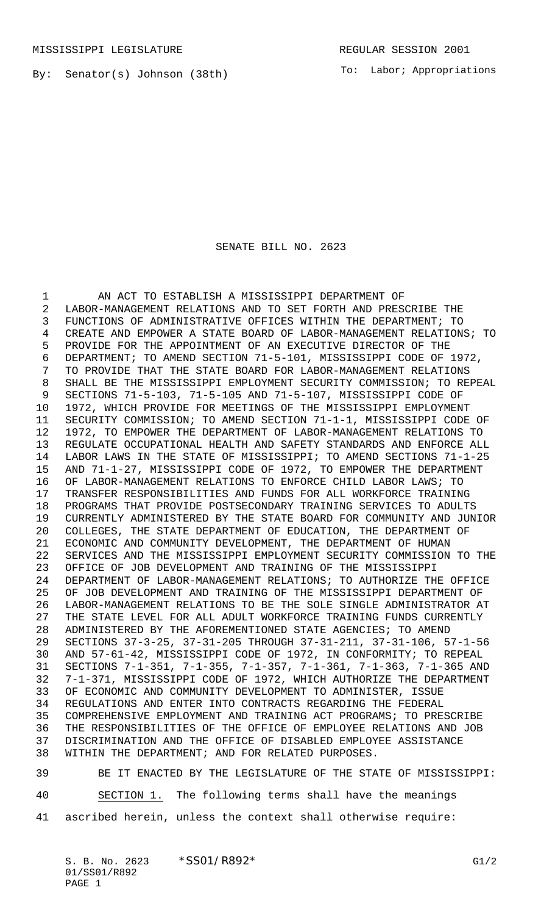By: Senator(s) Johnson (38th)

To: Labor; Appropriations

SENATE BILL NO. 2623

 AN ACT TO ESTABLISH A MISSISSIPPI DEPARTMENT OF LABOR-MANAGEMENT RELATIONS AND TO SET FORTH AND PRESCRIBE THE FUNCTIONS OF ADMINISTRATIVE OFFICES WITHIN THE DEPARTMENT; TO CREATE AND EMPOWER A STATE BOARD OF LABOR-MANAGEMENT RELATIONS; TO PROVIDE FOR THE APPOINTMENT OF AN EXECUTIVE DIRECTOR OF THE DEPARTMENT; TO AMEND SECTION 71-5-101, MISSISSIPPI CODE OF 1972, TO PROVIDE THAT THE STATE BOARD FOR LABOR-MANAGEMENT RELATIONS SHALL BE THE MISSISSIPPI EMPLOYMENT SECURITY COMMISSION; TO REPEAL SECTIONS 71-5-103, 71-5-105 AND 71-5-107, MISSISSIPPI CODE OF 1972, WHICH PROVIDE FOR MEETINGS OF THE MISSISSIPPI EMPLOYMENT SECURITY COMMISSION; TO AMEND SECTION 71-1-1, MISSISSIPPI CODE OF 1972, TO EMPOWER THE DEPARTMENT OF LABOR-MANAGEMENT RELATIONS TO REGULATE OCCUPATIONAL HEALTH AND SAFETY STANDARDS AND ENFORCE ALL LABOR LAWS IN THE STATE OF MISSISSIPPI; TO AMEND SECTIONS 71-1-25 AND 71-1-27, MISSISSIPPI CODE OF 1972, TO EMPOWER THE DEPARTMENT OF LABOR-MANAGEMENT RELATIONS TO ENFORCE CHILD LABOR LAWS; TO TRANSFER RESPONSIBILITIES AND FUNDS FOR ALL WORKFORCE TRAINING PROGRAMS THAT PROVIDE POSTSECONDARY TRAINING SERVICES TO ADULTS CURRENTLY ADMINISTERED BY THE STATE BOARD FOR COMMUNITY AND JUNIOR COLLEGES, THE STATE DEPARTMENT OF EDUCATION, THE DEPARTMENT OF ECONOMIC AND COMMUNITY DEVELOPMENT, THE DEPARTMENT OF HUMAN SERVICES AND THE MISSISSIPPI EMPLOYMENT SECURITY COMMISSION TO THE OFFICE OF JOB DEVELOPMENT AND TRAINING OF THE MISSISSIPPI DEPARTMENT OF LABOR-MANAGEMENT RELATIONS; TO AUTHORIZE THE OFFICE OF JOB DEVELOPMENT AND TRAINING OF THE MISSISSIPPI DEPARTMENT OF LABOR-MANAGEMENT RELATIONS TO BE THE SOLE SINGLE ADMINISTRATOR AT THE STATE LEVEL FOR ALL ADULT WORKFORCE TRAINING FUNDS CURRENTLY ADMINISTERED BY THE AFOREMENTIONED STATE AGENCIES; TO AMEND SECTIONS 37-3-25, 37-31-205 THROUGH 37-31-211, 37-31-106, 57-1-56 AND 57-61-42, MISSISSIPPI CODE OF 1972, IN CONFORMITY; TO REPEAL SECTIONS 7-1-351, 7-1-355, 7-1-357, 7-1-361, 7-1-363, 7-1-365 AND 7-1-371, MISSISSIPPI CODE OF 1972, WHICH AUTHORIZE THE DEPARTMENT OF ECONOMIC AND COMMUNITY DEVELOPMENT TO ADMINISTER, ISSUE REGULATIONS AND ENTER INTO CONTRACTS REGARDING THE FEDERAL COMPREHENSIVE EMPLOYMENT AND TRAINING ACT PROGRAMS; TO PRESCRIBE THE RESPONSIBILITIES OF THE OFFICE OF EMPLOYEE RELATIONS AND JOB DISCRIMINATION AND THE OFFICE OF DISABLED EMPLOYEE ASSISTANCE WITHIN THE DEPARTMENT; AND FOR RELATED PURPOSES.

 BE IT ENACTED BY THE LEGISLATURE OF THE STATE OF MISSISSIPPI: SECTION 1. The following terms shall have the meanings ascribed herein, unless the context shall otherwise require: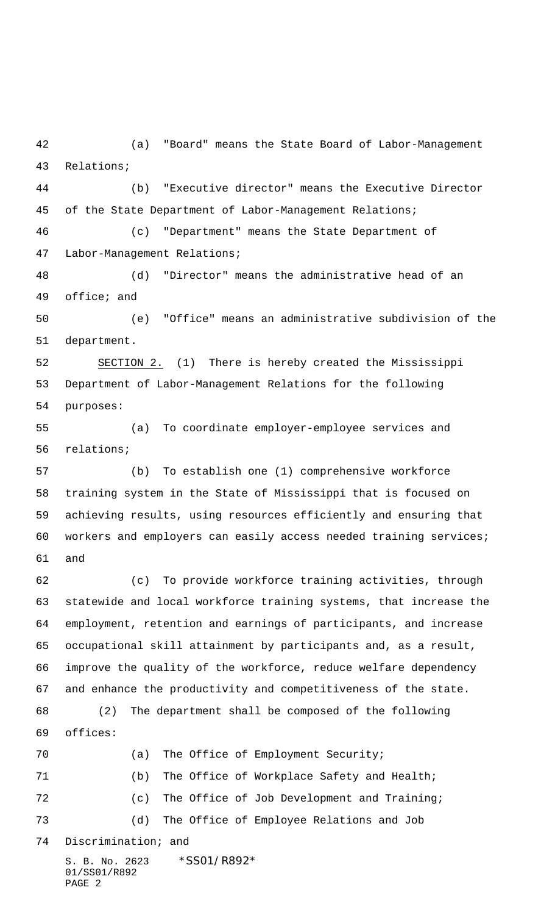(a) "Board" means the State Board of Labor-Management Relations;

 (b) "Executive director" means the Executive Director of the State Department of Labor-Management Relations;

 (c) "Department" means the State Department of Labor-Management Relations;

 (d) "Director" means the administrative head of an office; and

 (e) "Office" means an administrative subdivision of the department.

 SECTION 2. (1) There is hereby created the Mississippi Department of Labor-Management Relations for the following purposes:

 (a) To coordinate employer-employee services and relations;

 (b) To establish one (1) comprehensive workforce training system in the State of Mississippi that is focused on achieving results, using resources efficiently and ensuring that workers and employers can easily access needed training services; and

 (c) To provide workforce training activities, through statewide and local workforce training systems, that increase the employment, retention and earnings of participants, and increase occupational skill attainment by participants and, as a result, improve the quality of the workforce, reduce welfare dependency and enhance the productivity and competitiveness of the state. (2) The department shall be composed of the following offices: (a) The Office of Employment Security; (b) The Office of Workplace Safety and Health; (c) The Office of Job Development and Training; (d) The Office of Employee Relations and Job

Discrimination; and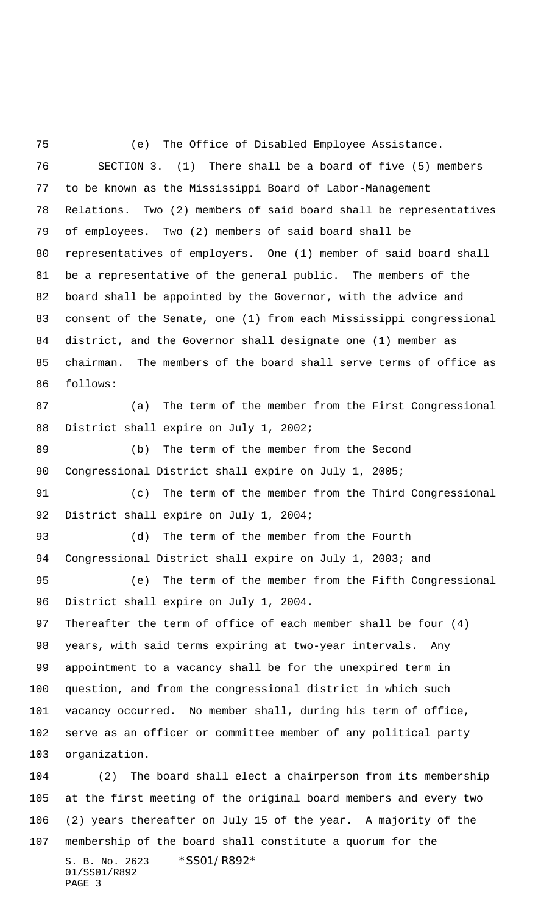S. B. No. 2623 \*SS01/R892\* 01/SS01/R892 (e) The Office of Disabled Employee Assistance. SECTION 3. (1) There shall be a board of five (5) members to be known as the Mississippi Board of Labor-Management Relations. Two (2) members of said board shall be representatives of employees. Two (2) members of said board shall be representatives of employers. One (1) member of said board shall be a representative of the general public. The members of the board shall be appointed by the Governor, with the advice and consent of the Senate, one (1) from each Mississippi congressional district, and the Governor shall designate one (1) member as chairman. The members of the board shall serve terms of office as follows: (a) The term of the member from the First Congressional District shall expire on July 1, 2002; (b) The term of the member from the Second Congressional District shall expire on July 1, 2005; (c) The term of the member from the Third Congressional District shall expire on July 1, 2004; (d) The term of the member from the Fourth Congressional District shall expire on July 1, 2003; and (e) The term of the member from the Fifth Congressional District shall expire on July 1, 2004. Thereafter the term of office of each member shall be four (4) years, with said terms expiring at two-year intervals. Any appointment to a vacancy shall be for the unexpired term in question, and from the congressional district in which such vacancy occurred. No member shall, during his term of office, serve as an officer or committee member of any political party organization. (2) The board shall elect a chairperson from its membership at the first meeting of the original board members and every two (2) years thereafter on July 15 of the year. A majority of the membership of the board shall constitute a quorum for the

PAGE 3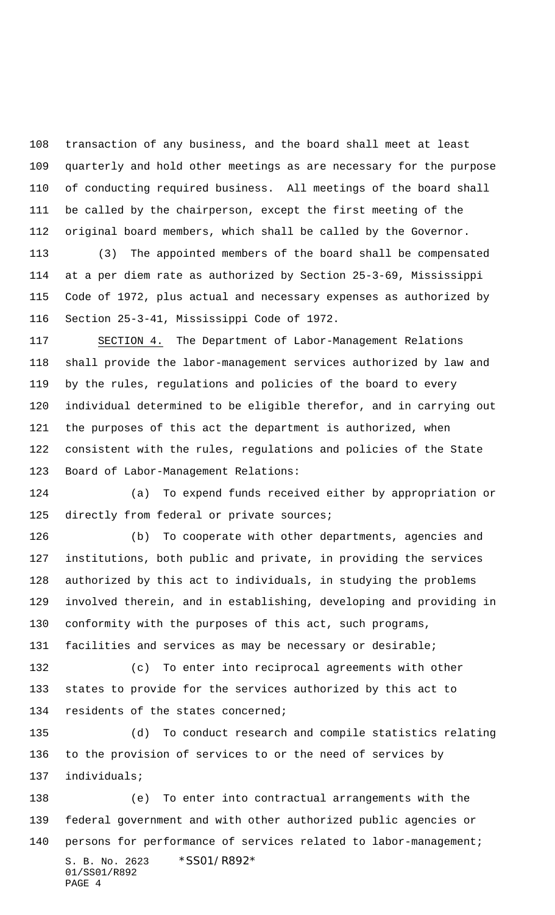transaction of any business, and the board shall meet at least quarterly and hold other meetings as are necessary for the purpose of conducting required business. All meetings of the board shall be called by the chairperson, except the first meeting of the original board members, which shall be called by the Governor.

 (3) The appointed members of the board shall be compensated at a per diem rate as authorized by Section 25-3-69, Mississippi Code of 1972, plus actual and necessary expenses as authorized by Section 25-3-41, Mississippi Code of 1972.

 SECTION 4. The Department of Labor-Management Relations shall provide the labor-management services authorized by law and by the rules, regulations and policies of the board to every individual determined to be eligible therefor, and in carrying out the purposes of this act the department is authorized, when consistent with the rules, regulations and policies of the State Board of Labor-Management Relations:

 (a) To expend funds received either by appropriation or 125 directly from federal or private sources;

 (b) To cooperate with other departments, agencies and institutions, both public and private, in providing the services authorized by this act to individuals, in studying the problems involved therein, and in establishing, developing and providing in conformity with the purposes of this act, such programs, facilities and services as may be necessary or desirable;

 (c) To enter into reciprocal agreements with other states to provide for the services authorized by this act to residents of the states concerned;

 (d) To conduct research and compile statistics relating to the provision of services to or the need of services by individuals;

S. B. No. 2623 \*SS01/R892\* 01/SS01/R892 PAGE 4 (e) To enter into contractual arrangements with the federal government and with other authorized public agencies or 140 persons for performance of services related to labor-management;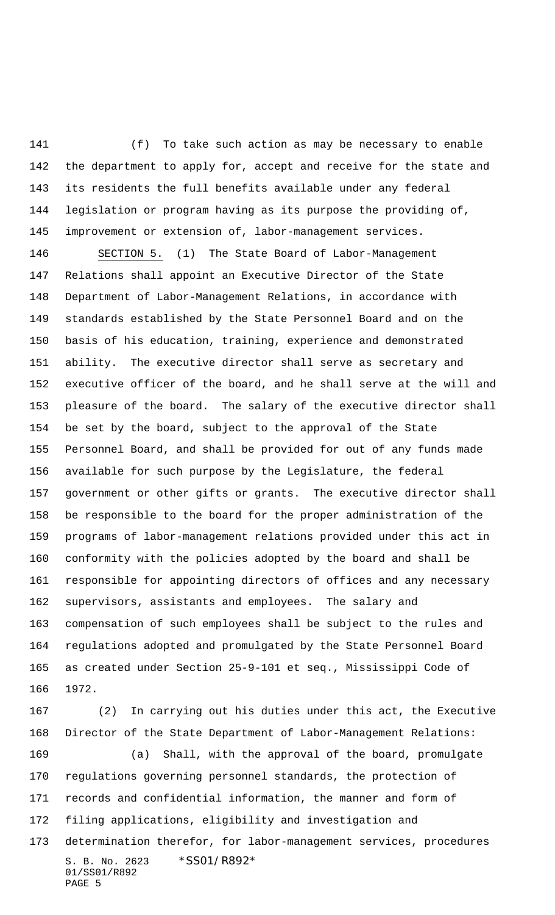(f) To take such action as may be necessary to enable the department to apply for, accept and receive for the state and its residents the full benefits available under any federal legislation or program having as its purpose the providing of, improvement or extension of, labor-management services.

 SECTION 5. (1) The State Board of Labor-Management Relations shall appoint an Executive Director of the State Department of Labor-Management Relations, in accordance with standards established by the State Personnel Board and on the basis of his education, training, experience and demonstrated ability. The executive director shall serve as secretary and executive officer of the board, and he shall serve at the will and pleasure of the board. The salary of the executive director shall be set by the board, subject to the approval of the State Personnel Board, and shall be provided for out of any funds made available for such purpose by the Legislature, the federal government or other gifts or grants. The executive director shall be responsible to the board for the proper administration of the programs of labor-management relations provided under this act in conformity with the policies adopted by the board and shall be responsible for appointing directors of offices and any necessary supervisors, assistants and employees. The salary and compensation of such employees shall be subject to the rules and regulations adopted and promulgated by the State Personnel Board as created under Section 25-9-101 et seq., Mississippi Code of 1972.

S. B. No. 2623 \*SS01/R892\* 01/SS01/R892 PAGE 5 (2) In carrying out his duties under this act, the Executive Director of the State Department of Labor-Management Relations: (a) Shall, with the approval of the board, promulgate regulations governing personnel standards, the protection of records and confidential information, the manner and form of filing applications, eligibility and investigation and determination therefor, for labor-management services, procedures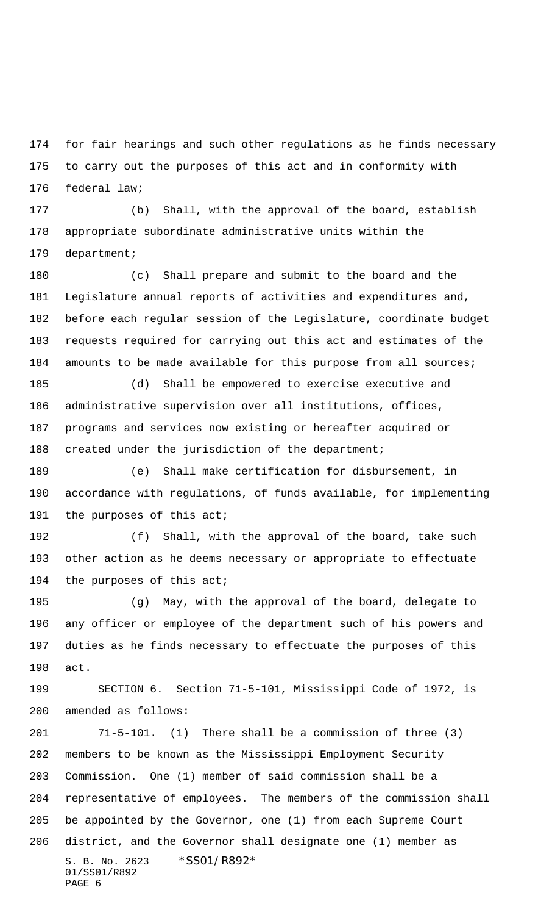for fair hearings and such other regulations as he finds necessary to carry out the purposes of this act and in conformity with federal law;

 (b) Shall, with the approval of the board, establish appropriate subordinate administrative units within the department;

 (c) Shall prepare and submit to the board and the Legislature annual reports of activities and expenditures and, before each regular session of the Legislature, coordinate budget requests required for carrying out this act and estimates of the 184 amounts to be made available for this purpose from all sources;

 (d) Shall be empowered to exercise executive and administrative supervision over all institutions, offices, programs and services now existing or hereafter acquired or created under the jurisdiction of the department;

 (e) Shall make certification for disbursement, in accordance with regulations, of funds available, for implementing 191 the purposes of this act;

 (f) Shall, with the approval of the board, take such other action as he deems necessary or appropriate to effectuate the purposes of this act;

 (g) May, with the approval of the board, delegate to any officer or employee of the department such of his powers and duties as he finds necessary to effectuate the purposes of this act.

 SECTION 6. Section 71-5-101, Mississippi Code of 1972, is amended as follows:

S. B. No. 2623 \*SS01/R892\* 01/SS01/R892 PAGE 6 71-5-101. (1) There shall be a commission of three (3) members to be known as the Mississippi Employment Security Commission. One (1) member of said commission shall be a representative of employees. The members of the commission shall be appointed by the Governor, one (1) from each Supreme Court district, and the Governor shall designate one (1) member as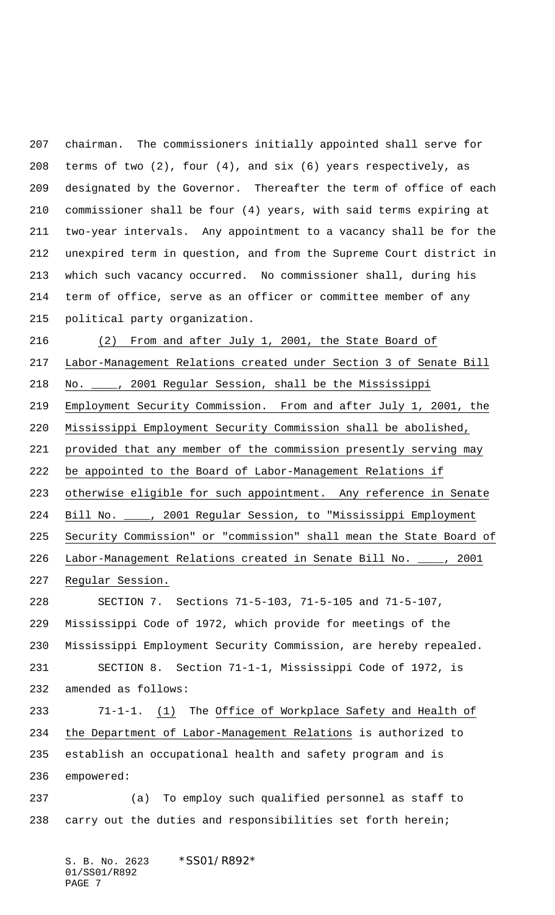chairman. The commissioners initially appointed shall serve for terms of two (2), four (4), and six (6) years respectively, as designated by the Governor. Thereafter the term of office of each commissioner shall be four (4) years, with said terms expiring at two-year intervals. Any appointment to a vacancy shall be for the unexpired term in question, and from the Supreme Court district in which such vacancy occurred. No commissioner shall, during his term of office, serve as an officer or committee member of any political party organization.

 (2) From and after July 1, 2001, the State Board of Labor-Management Relations created under Section 3 of Senate Bill No. \_\_\_\_, 2001 Regular Session, shall be the Mississippi Employment Security Commission. From and after July 1, 2001, the Mississippi Employment Security Commission shall be abolished, provided that any member of the commission presently serving may be appointed to the Board of Labor-Management Relations if otherwise eligible for such appointment. Any reference in Senate Bill No. \_\_\_\_, 2001 Regular Session, to "Mississippi Employment Security Commission" or "commission" shall mean the State Board of Labor-Management Relations created in Senate Bill No. \_\_\_\_, 2001 Regular Session.

 SECTION 7. Sections 71-5-103, 71-5-105 and 71-5-107, Mississippi Code of 1972, which provide for meetings of the Mississippi Employment Security Commission, are hereby repealed. SECTION 8. Section 71-1-1, Mississippi Code of 1972, is amended as follows:

 71-1-1. (1) The Office of Workplace Safety and Health of the Department of Labor-Management Relations is authorized to establish an occupational health and safety program and is empowered:

 (a) To employ such qualified personnel as staff to carry out the duties and responsibilities set forth herein;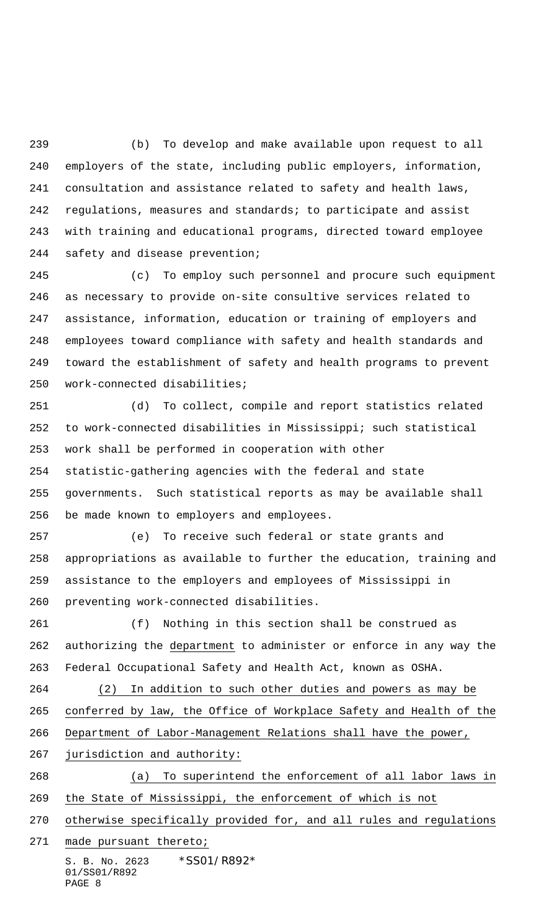(b) To develop and make available upon request to all employers of the state, including public employers, information, consultation and assistance related to safety and health laws, regulations, measures and standards; to participate and assist with training and educational programs, directed toward employee safety and disease prevention;

 (c) To employ such personnel and procure such equipment as necessary to provide on-site consultive services related to assistance, information, education or training of employers and employees toward compliance with safety and health standards and toward the establishment of safety and health programs to prevent work-connected disabilities;

 (d) To collect, compile and report statistics related to work-connected disabilities in Mississippi; such statistical work shall be performed in cooperation with other statistic-gathering agencies with the federal and state governments. Such statistical reports as may be available shall be made known to employers and employees.

 (e) To receive such federal or state grants and appropriations as available to further the education, training and assistance to the employers and employees of Mississippi in preventing work-connected disabilities.

 (f) Nothing in this section shall be construed as authorizing the department to administer or enforce in any way the Federal Occupational Safety and Health Act, known as OSHA.

 (2) In addition to such other duties and powers as may be conferred by law, the Office of Workplace Safety and Health of the Department of Labor-Management Relations shall have the power,

jurisdiction and authority:

 (a) To superintend the enforcement of all labor laws in the State of Mississippi, the enforcement of which is not

otherwise specifically provided for, and all rules and regulations

made pursuant thereto;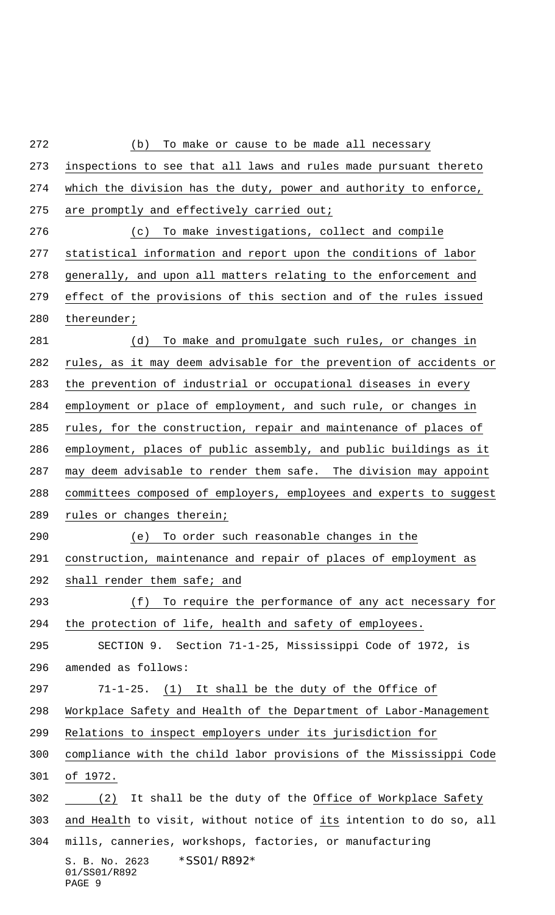| 272 | (b)<br>To make or cause to be made all necessary                   |  |  |
|-----|--------------------------------------------------------------------|--|--|
| 273 | inspections to see that all laws and rules made pursuant thereto   |  |  |
| 274 | which the division has the duty, power and authority to enforce,   |  |  |
| 275 | are promptly and effectively carried out;                          |  |  |
| 276 | To make investigations, collect and compile<br>(c)                 |  |  |
| 277 | statistical information and report upon the conditions of labor    |  |  |
| 278 | generally, and upon all matters relating to the enforcement and    |  |  |
| 279 | effect of the provisions of this section and of the rules issued   |  |  |
| 280 | thereunder;                                                        |  |  |
| 281 | To make and promulgate such rules, or changes in<br>(d)            |  |  |
| 282 | rules, as it may deem advisable for the prevention of accidents or |  |  |
| 283 | the prevention of industrial or occupational diseases in every     |  |  |
| 284 | employment or place of employment, and such rule, or changes in    |  |  |
| 285 | rules, for the construction, repair and maintenance of places of   |  |  |
| 286 | employment, places of public assembly, and public buildings as it  |  |  |
| 287 | may deem advisable to render them safe. The division may appoint   |  |  |
| 288 | committees composed of employers, employees and experts to suggest |  |  |
| 289 | rules or changes therein;                                          |  |  |
| 290 | To order such reasonable changes in the<br>(e)                     |  |  |
| 291 | construction, maintenance and repair of places of employment as    |  |  |
| 292 | shall render them safe; and                                        |  |  |
| 293 | (f)<br>To require the performance of any act necessary for         |  |  |
| 294 | the protection of life, health and safety of employees.            |  |  |
| 295 | SECTION 9. Section 71-1-25, Mississippi Code of 1972, is           |  |  |
| 296 | amended as follows:                                                |  |  |
| 297 | 71-1-25. (1) It shall be the duty of the Office of                 |  |  |
| 298 | Workplace Safety and Health of the Department of Labor-Management  |  |  |
| 299 | Relations to inspect employers under its jurisdiction for          |  |  |
| 300 | compliance with the child labor provisions of the Mississippi Code |  |  |
| 301 | of 1972.                                                           |  |  |
| 302 | It shall be the duty of the Office of Workplace Safety<br>(2)      |  |  |
| 303 | and Health to visit, without notice of its intention to do so, all |  |  |
| 304 | mills, canneries, workshops, factories, or manufacturing           |  |  |
|     | *SS01/R892*<br>S. B. No. 2623<br>01/SS01/R892<br>PAGE 9            |  |  |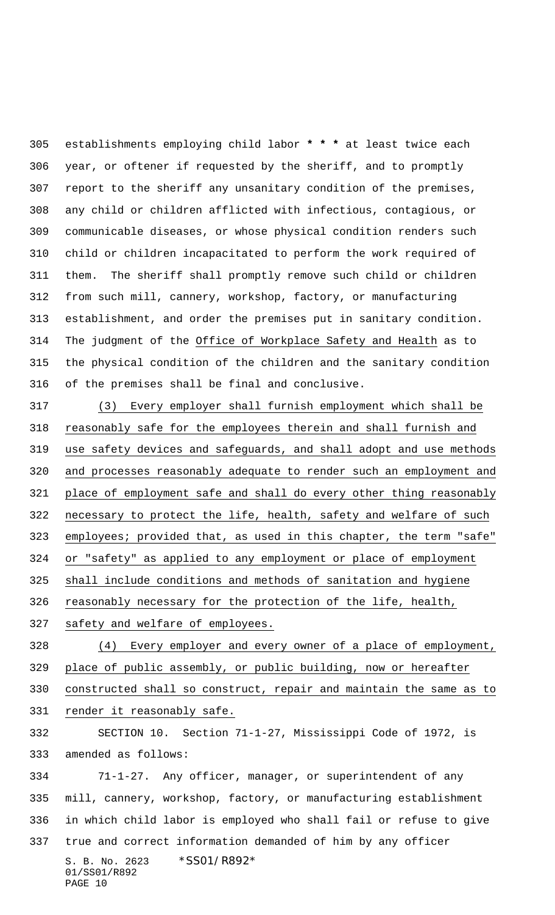establishments employing child labor **\* \* \*** at least twice each year, or oftener if requested by the sheriff, and to promptly report to the sheriff any unsanitary condition of the premises, any child or children afflicted with infectious, contagious, or communicable diseases, or whose physical condition renders such child or children incapacitated to perform the work required of them. The sheriff shall promptly remove such child or children from such mill, cannery, workshop, factory, or manufacturing establishment, and order the premises put in sanitary condition. The judgment of the Office of Workplace Safety and Health as to the physical condition of the children and the sanitary condition of the premises shall be final and conclusive.

 (3) Every employer shall furnish employment which shall be reasonably safe for the employees therein and shall furnish and use safety devices and safeguards, and shall adopt and use methods and processes reasonably adequate to render such an employment and place of employment safe and shall do every other thing reasonably 322 necessary to protect the life, health, safety and welfare of such employees; provided that, as used in this chapter, the term "safe" or "safety" as applied to any employment or place of employment shall include conditions and methods of sanitation and hygiene reasonably necessary for the protection of the life, health,

safety and welfare of employees.

 (4) Every employer and every owner of a place of employment, place of public assembly, or public building, now or hereafter constructed shall so construct, repair and maintain the same as to render it reasonably safe.

 SECTION 10. Section 71-1-27, Mississippi Code of 1972, is amended as follows:

S. B. No. 2623 \*SS01/R892\* 01/SS01/R892 PAGE 10 71-1-27. Any officer, manager, or superintendent of any mill, cannery, workshop, factory, or manufacturing establishment in which child labor is employed who shall fail or refuse to give true and correct information demanded of him by any officer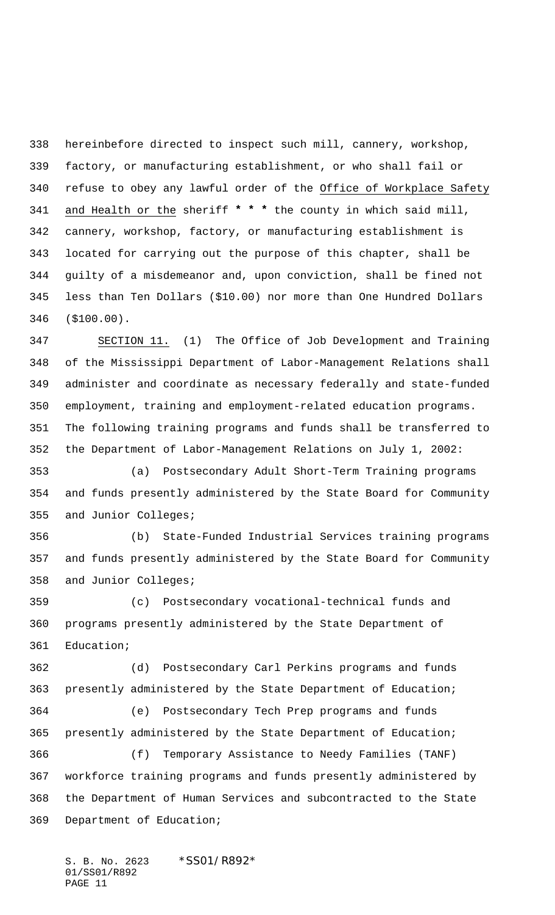hereinbefore directed to inspect such mill, cannery, workshop, factory, or manufacturing establishment, or who shall fail or refuse to obey any lawful order of the Office of Workplace Safety and Health or the sheriff **\* \* \*** the county in which said mill, cannery, workshop, factory, or manufacturing establishment is located for carrying out the purpose of this chapter, shall be guilty of a misdemeanor and, upon conviction, shall be fined not less than Ten Dollars (\$10.00) nor more than One Hundred Dollars (\$100.00).

 SECTION 11. (1) The Office of Job Development and Training of the Mississippi Department of Labor-Management Relations shall administer and coordinate as necessary federally and state-funded employment, training and employment-related education programs. The following training programs and funds shall be transferred to the Department of Labor-Management Relations on July 1, 2002:

 (a) Postsecondary Adult Short-Term Training programs and funds presently administered by the State Board for Community and Junior Colleges;

 (b) State-Funded Industrial Services training programs and funds presently administered by the State Board for Community and Junior Colleges;

 (c) Postsecondary vocational-technical funds and programs presently administered by the State Department of Education;

 (d) Postsecondary Carl Perkins programs and funds presently administered by the State Department of Education; (e) Postsecondary Tech Prep programs and funds

presently administered by the State Department of Education;

 (f) Temporary Assistance to Needy Families (TANF) workforce training programs and funds presently administered by the Department of Human Services and subcontracted to the State Department of Education;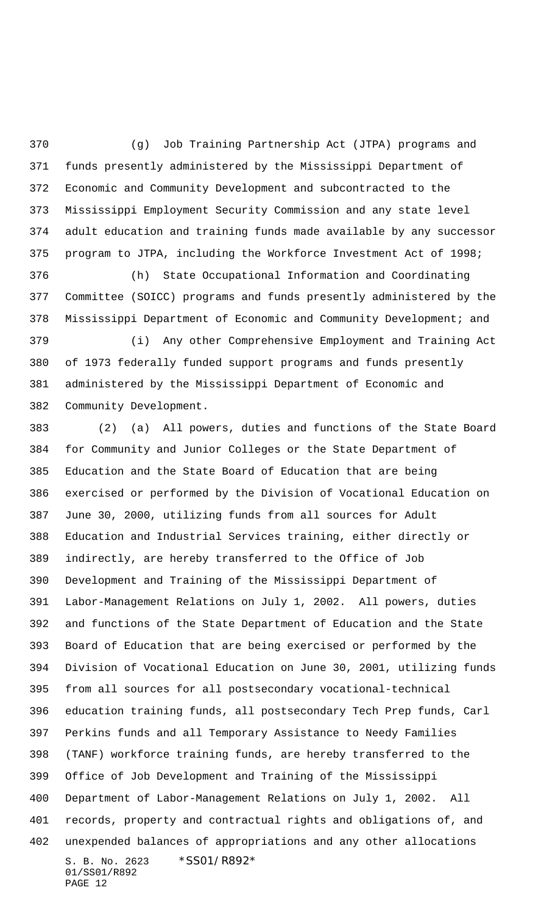(g) Job Training Partnership Act (JTPA) programs and funds presently administered by the Mississippi Department of Economic and Community Development and subcontracted to the Mississippi Employment Security Commission and any state level adult education and training funds made available by any successor program to JTPA, including the Workforce Investment Act of 1998;

 (h) State Occupational Information and Coordinating Committee (SOICC) programs and funds presently administered by the Mississippi Department of Economic and Community Development; and

 (i) Any other Comprehensive Employment and Training Act of 1973 federally funded support programs and funds presently administered by the Mississippi Department of Economic and Community Development.

S. B. No. 2623 \*SS01/R892\* 01/SS01/R892 PAGE 12 (2) (a) All powers, duties and functions of the State Board for Community and Junior Colleges or the State Department of Education and the State Board of Education that are being exercised or performed by the Division of Vocational Education on June 30, 2000, utilizing funds from all sources for Adult Education and Industrial Services training, either directly or indirectly, are hereby transferred to the Office of Job Development and Training of the Mississippi Department of Labor-Management Relations on July 1, 2002. All powers, duties and functions of the State Department of Education and the State Board of Education that are being exercised or performed by the Division of Vocational Education on June 30, 2001, utilizing funds from all sources for all postsecondary vocational-technical education training funds, all postsecondary Tech Prep funds, Carl Perkins funds and all Temporary Assistance to Needy Families (TANF) workforce training funds, are hereby transferred to the Office of Job Development and Training of the Mississippi Department of Labor-Management Relations on July 1, 2002. All records, property and contractual rights and obligations of, and unexpended balances of appropriations and any other allocations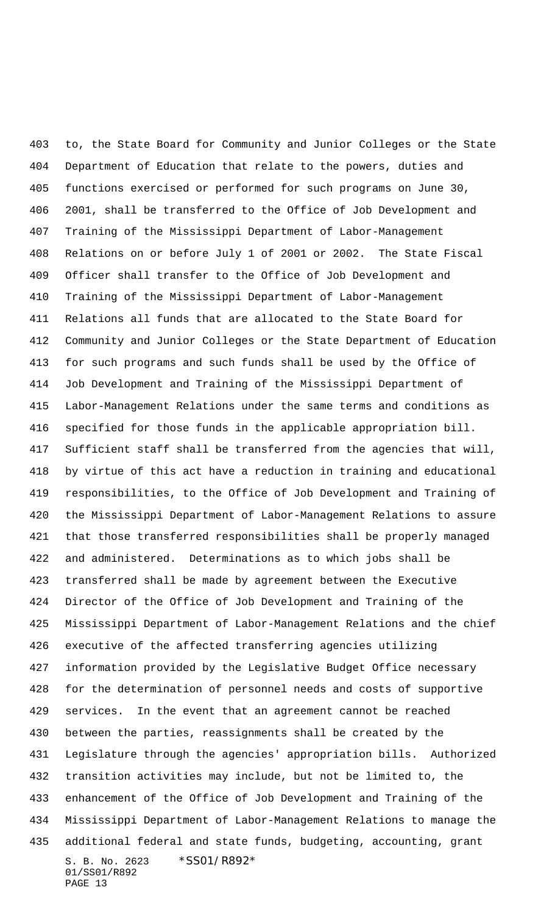S. B. No. 2623 \*SS01/R892\* 01/SS01/R892 PAGE 13 to, the State Board for Community and Junior Colleges or the State Department of Education that relate to the powers, duties and functions exercised or performed for such programs on June 30, 2001, shall be transferred to the Office of Job Development and Training of the Mississippi Department of Labor-Management Relations on or before July 1 of 2001 or 2002. The State Fiscal Officer shall transfer to the Office of Job Development and Training of the Mississippi Department of Labor-Management Relations all funds that are allocated to the State Board for Community and Junior Colleges or the State Department of Education for such programs and such funds shall be used by the Office of Job Development and Training of the Mississippi Department of Labor-Management Relations under the same terms and conditions as specified for those funds in the applicable appropriation bill. Sufficient staff shall be transferred from the agencies that will, by virtue of this act have a reduction in training and educational responsibilities, to the Office of Job Development and Training of the Mississippi Department of Labor-Management Relations to assure that those transferred responsibilities shall be properly managed and administered. Determinations as to which jobs shall be transferred shall be made by agreement between the Executive Director of the Office of Job Development and Training of the Mississippi Department of Labor-Management Relations and the chief executive of the affected transferring agencies utilizing information provided by the Legislative Budget Office necessary for the determination of personnel needs and costs of supportive services. In the event that an agreement cannot be reached between the parties, reassignments shall be created by the Legislature through the agencies' appropriation bills. Authorized transition activities may include, but not be limited to, the enhancement of the Office of Job Development and Training of the Mississippi Department of Labor-Management Relations to manage the additional federal and state funds, budgeting, accounting, grant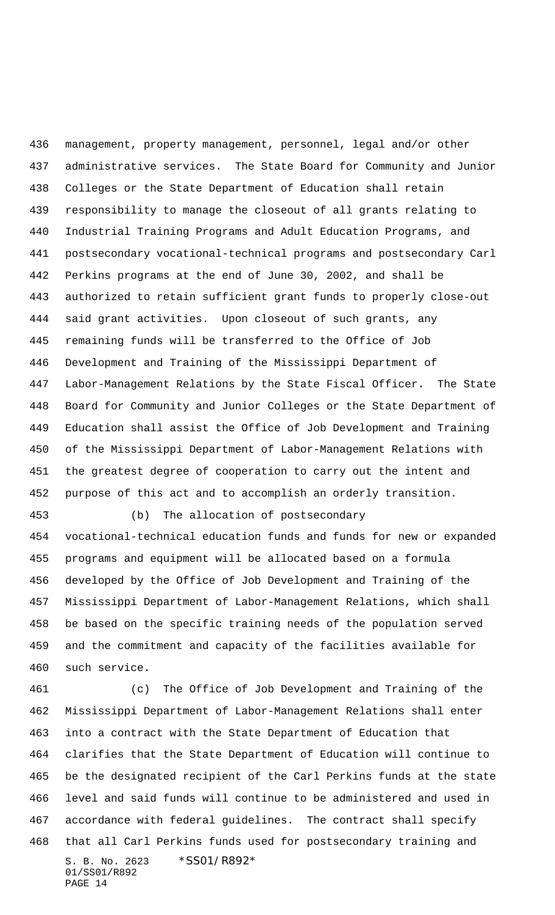management, property management, personnel, legal and/or other administrative services. The State Board for Community and Junior Colleges or the State Department of Education shall retain responsibility to manage the closeout of all grants relating to Industrial Training Programs and Adult Education Programs, and postsecondary vocational-technical programs and postsecondary Carl Perkins programs at the end of June 30, 2002, and shall be authorized to retain sufficient grant funds to properly close-out said grant activities. Upon closeout of such grants, any remaining funds will be transferred to the Office of Job Development and Training of the Mississippi Department of Labor-Management Relations by the State Fiscal Officer. The State Board for Community and Junior Colleges or the State Department of Education shall assist the Office of Job Development and Training of the Mississippi Department of Labor-Management Relations with the greatest degree of cooperation to carry out the intent and purpose of this act and to accomplish an orderly transition.

 vocational-technical education funds and funds for new or expanded programs and equipment will be allocated based on a formula developed by the Office of Job Development and Training of the Mississippi Department of Labor-Management Relations, which shall be based on the specific training needs of the population served and the commitment and capacity of the facilities available for such service.

(b) The allocation of postsecondary

S. B. No. 2623 \*SS01/R892\* 01/SS01/R892 PAGE 14 (c) The Office of Job Development and Training of the Mississippi Department of Labor-Management Relations shall enter into a contract with the State Department of Education that clarifies that the State Department of Education will continue to be the designated recipient of the Carl Perkins funds at the state level and said funds will continue to be administered and used in accordance with federal guidelines. The contract shall specify that all Carl Perkins funds used for postsecondary training and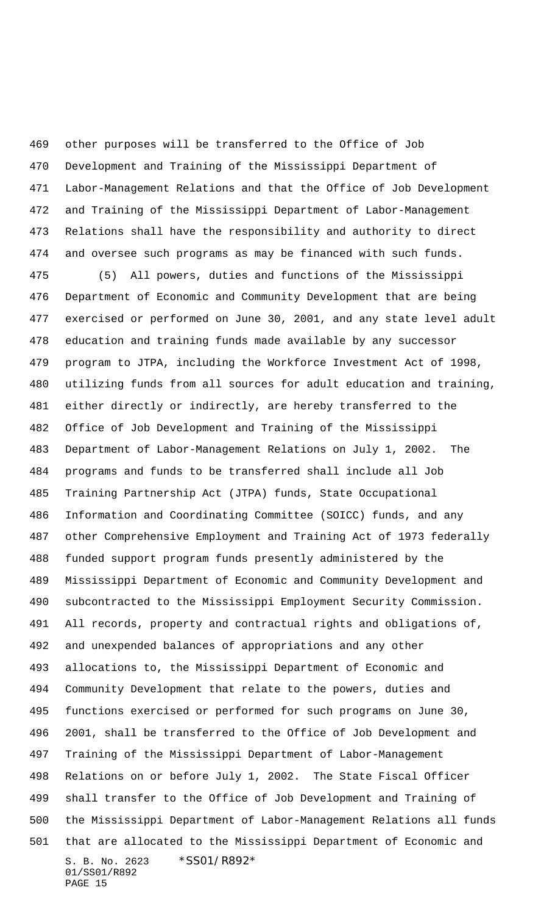other purposes will be transferred to the Office of Job Development and Training of the Mississippi Department of Labor-Management Relations and that the Office of Job Development and Training of the Mississippi Department of Labor-Management Relations shall have the responsibility and authority to direct and oversee such programs as may be financed with such funds.

S. B. No. 2623 \*SS01/R892\* 01/SS01/R892 PAGE 15 (5) All powers, duties and functions of the Mississippi Department of Economic and Community Development that are being exercised or performed on June 30, 2001, and any state level adult education and training funds made available by any successor program to JTPA, including the Workforce Investment Act of 1998, utilizing funds from all sources for adult education and training, either directly or indirectly, are hereby transferred to the Office of Job Development and Training of the Mississippi Department of Labor-Management Relations on July 1, 2002. The programs and funds to be transferred shall include all Job Training Partnership Act (JTPA) funds, State Occupational Information and Coordinating Committee (SOICC) funds, and any other Comprehensive Employment and Training Act of 1973 federally funded support program funds presently administered by the Mississippi Department of Economic and Community Development and subcontracted to the Mississippi Employment Security Commission. All records, property and contractual rights and obligations of, and unexpended balances of appropriations and any other allocations to, the Mississippi Department of Economic and Community Development that relate to the powers, duties and functions exercised or performed for such programs on June 30, 2001, shall be transferred to the Office of Job Development and Training of the Mississippi Department of Labor-Management Relations on or before July 1, 2002. The State Fiscal Officer shall transfer to the Office of Job Development and Training of the Mississippi Department of Labor-Management Relations all funds that are allocated to the Mississippi Department of Economic and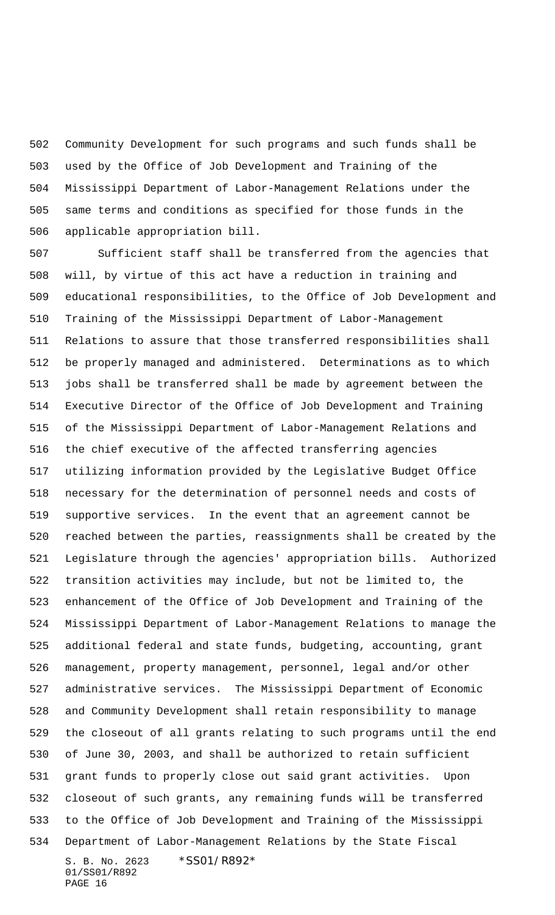Community Development for such programs and such funds shall be used by the Office of Job Development and Training of the Mississippi Department of Labor-Management Relations under the same terms and conditions as specified for those funds in the applicable appropriation bill.

S. B. No. 2623 \*SS01/R892\* 01/SS01/R892 PAGE 16 Sufficient staff shall be transferred from the agencies that will, by virtue of this act have a reduction in training and educational responsibilities, to the Office of Job Development and Training of the Mississippi Department of Labor-Management Relations to assure that those transferred responsibilities shall be properly managed and administered. Determinations as to which jobs shall be transferred shall be made by agreement between the Executive Director of the Office of Job Development and Training of the Mississippi Department of Labor-Management Relations and the chief executive of the affected transferring agencies utilizing information provided by the Legislative Budget Office necessary for the determination of personnel needs and costs of supportive services. In the event that an agreement cannot be reached between the parties, reassignments shall be created by the Legislature through the agencies' appropriation bills. Authorized transition activities may include, but not be limited to, the enhancement of the Office of Job Development and Training of the Mississippi Department of Labor-Management Relations to manage the additional federal and state funds, budgeting, accounting, grant management, property management, personnel, legal and/or other administrative services. The Mississippi Department of Economic and Community Development shall retain responsibility to manage the closeout of all grants relating to such programs until the end of June 30, 2003, and shall be authorized to retain sufficient grant funds to properly close out said grant activities. Upon closeout of such grants, any remaining funds will be transferred to the Office of Job Development and Training of the Mississippi Department of Labor-Management Relations by the State Fiscal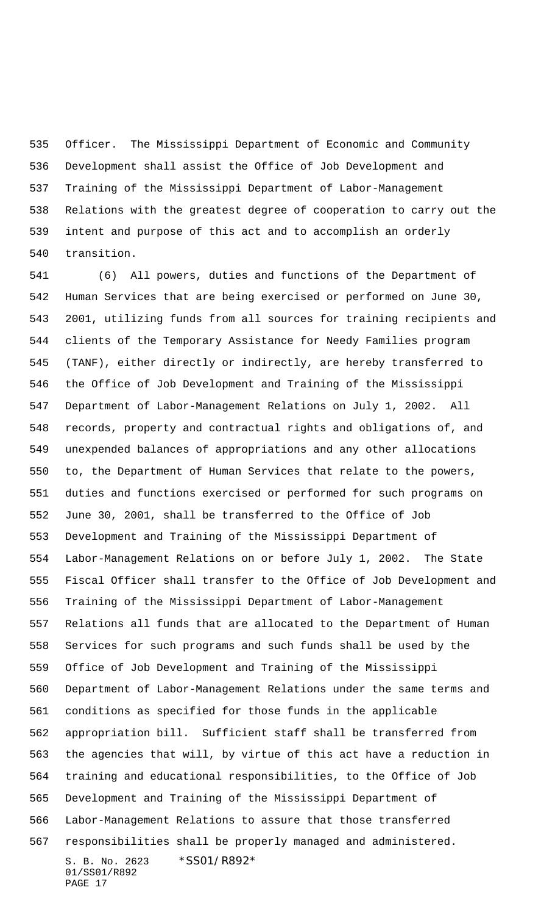Officer. The Mississippi Department of Economic and Community Development shall assist the Office of Job Development and Training of the Mississippi Department of Labor-Management Relations with the greatest degree of cooperation to carry out the intent and purpose of this act and to accomplish an orderly transition.

S. B. No. 2623 \*SS01/R892\* 01/SS01/R892 (6) All powers, duties and functions of the Department of Human Services that are being exercised or performed on June 30, 2001, utilizing funds from all sources for training recipients and clients of the Temporary Assistance for Needy Families program (TANF), either directly or indirectly, are hereby transferred to the Office of Job Development and Training of the Mississippi Department of Labor-Management Relations on July 1, 2002. All records, property and contractual rights and obligations of, and unexpended balances of appropriations and any other allocations to, the Department of Human Services that relate to the powers, duties and functions exercised or performed for such programs on June 30, 2001, shall be transferred to the Office of Job Development and Training of the Mississippi Department of Labor-Management Relations on or before July 1, 2002. The State Fiscal Officer shall transfer to the Office of Job Development and Training of the Mississippi Department of Labor-Management Relations all funds that are allocated to the Department of Human Services for such programs and such funds shall be used by the Office of Job Development and Training of the Mississippi Department of Labor-Management Relations under the same terms and conditions as specified for those funds in the applicable appropriation bill. Sufficient staff shall be transferred from the agencies that will, by virtue of this act have a reduction in training and educational responsibilities, to the Office of Job Development and Training of the Mississippi Department of Labor-Management Relations to assure that those transferred responsibilities shall be properly managed and administered.

```
PAGE 17
```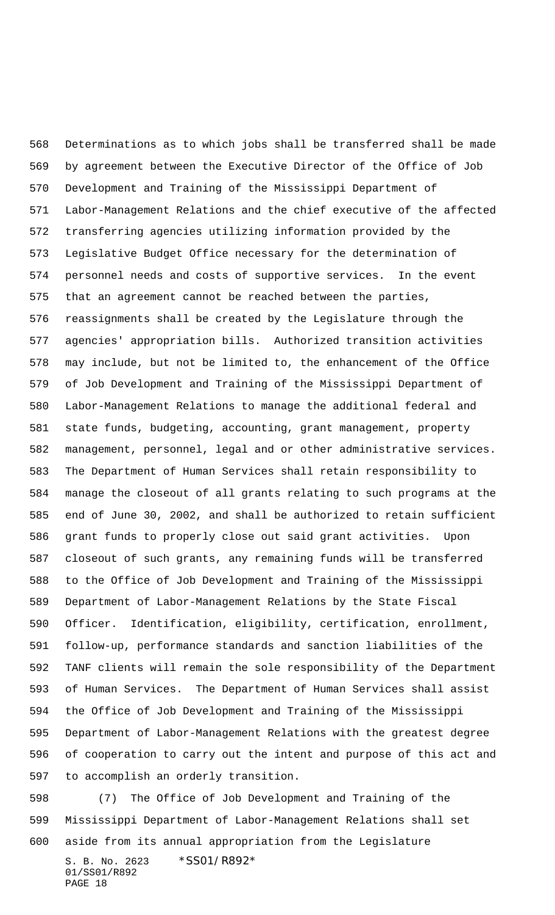Determinations as to which jobs shall be transferred shall be made by agreement between the Executive Director of the Office of Job Development and Training of the Mississippi Department of Labor-Management Relations and the chief executive of the affected transferring agencies utilizing information provided by the Legislative Budget Office necessary for the determination of personnel needs and costs of supportive services. In the event that an agreement cannot be reached between the parties, reassignments shall be created by the Legislature through the agencies' appropriation bills. Authorized transition activities may include, but not be limited to, the enhancement of the Office of Job Development and Training of the Mississippi Department of Labor-Management Relations to manage the additional federal and state funds, budgeting, accounting, grant management, property management, personnel, legal and or other administrative services. The Department of Human Services shall retain responsibility to manage the closeout of all grants relating to such programs at the end of June 30, 2002, and shall be authorized to retain sufficient grant funds to properly close out said grant activities. Upon closeout of such grants, any remaining funds will be transferred to the Office of Job Development and Training of the Mississippi Department of Labor-Management Relations by the State Fiscal Officer. Identification, eligibility, certification, enrollment, follow-up, performance standards and sanction liabilities of the TANF clients will remain the sole responsibility of the Department of Human Services. The Department of Human Services shall assist the Office of Job Development and Training of the Mississippi Department of Labor-Management Relations with the greatest degree of cooperation to carry out the intent and purpose of this act and to accomplish an orderly transition.

S. B. No. 2623 \*SS01/R892\* (7) The Office of Job Development and Training of the Mississippi Department of Labor-Management Relations shall set aside from its annual appropriation from the Legislature

01/SS01/R892 PAGE 18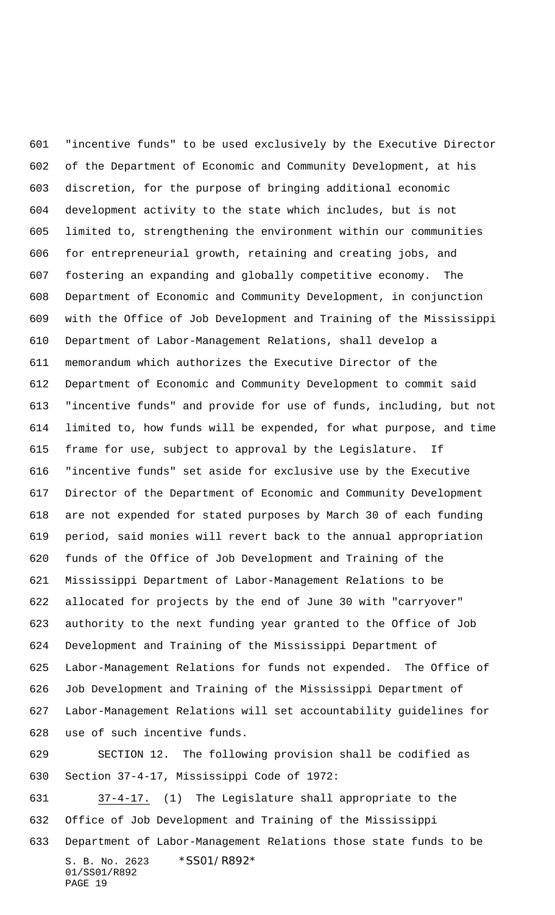"incentive funds" to be used exclusively by the Executive Director of the Department of Economic and Community Development, at his discretion, for the purpose of bringing additional economic development activity to the state which includes, but is not limited to, strengthening the environment within our communities for entrepreneurial growth, retaining and creating jobs, and fostering an expanding and globally competitive economy. The Department of Economic and Community Development, in conjunction with the Office of Job Development and Training of the Mississippi Department of Labor-Management Relations, shall develop a memorandum which authorizes the Executive Director of the Department of Economic and Community Development to commit said "incentive funds" and provide for use of funds, including, but not limited to, how funds will be expended, for what purpose, and time frame for use, subject to approval by the Legislature. If "incentive funds" set aside for exclusive use by the Executive Director of the Department of Economic and Community Development are not expended for stated purposes by March 30 of each funding period, said monies will revert back to the annual appropriation funds of the Office of Job Development and Training of the Mississippi Department of Labor-Management Relations to be allocated for projects by the end of June 30 with "carryover" authority to the next funding year granted to the Office of Job Development and Training of the Mississippi Department of Labor-Management Relations for funds not expended. The Office of Job Development and Training of the Mississippi Department of Labor-Management Relations will set accountability guidelines for use of such incentive funds.

 SECTION 12. The following provision shall be codified as Section 37-4-17, Mississippi Code of 1972:

S. B. No. 2623 \*SS01/R892\* 01/SS01/R892 PAGE 19 37-4-17. (1) The Legislature shall appropriate to the Office of Job Development and Training of the Mississippi Department of Labor-Management Relations those state funds to be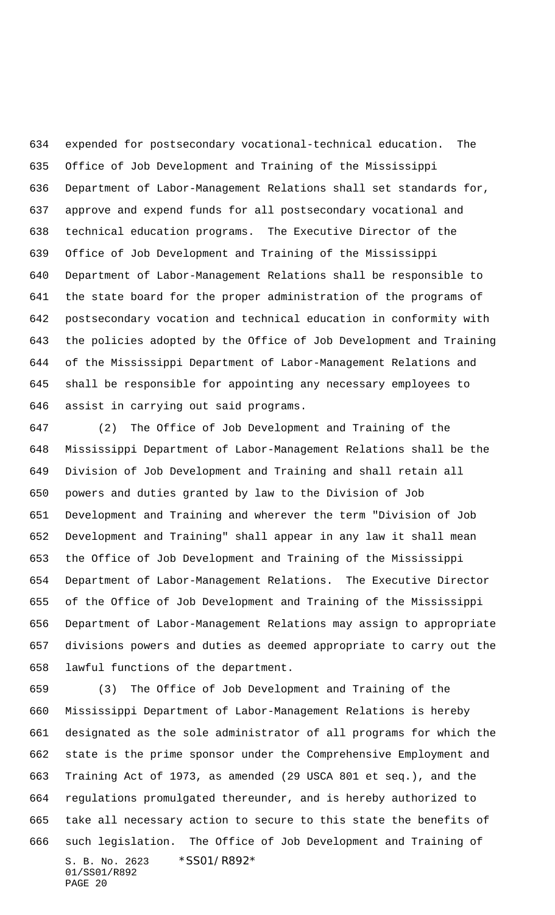expended for postsecondary vocational-technical education. The Office of Job Development and Training of the Mississippi Department of Labor-Management Relations shall set standards for, approve and expend funds for all postsecondary vocational and technical education programs. The Executive Director of the Office of Job Development and Training of the Mississippi Department of Labor-Management Relations shall be responsible to the state board for the proper administration of the programs of postsecondary vocation and technical education in conformity with the policies adopted by the Office of Job Development and Training of the Mississippi Department of Labor-Management Relations and shall be responsible for appointing any necessary employees to assist in carrying out said programs.

 (2) The Office of Job Development and Training of the Mississippi Department of Labor-Management Relations shall be the Division of Job Development and Training and shall retain all powers and duties granted by law to the Division of Job Development and Training and wherever the term "Division of Job Development and Training" shall appear in any law it shall mean the Office of Job Development and Training of the Mississippi Department of Labor-Management Relations. The Executive Director of the Office of Job Development and Training of the Mississippi Department of Labor-Management Relations may assign to appropriate divisions powers and duties as deemed appropriate to carry out the lawful functions of the department.

S. B. No. 2623 \*SS01/R892\* 01/SS01/R892 PAGE 20 (3) The Office of Job Development and Training of the Mississippi Department of Labor-Management Relations is hereby designated as the sole administrator of all programs for which the state is the prime sponsor under the Comprehensive Employment and Training Act of 1973, as amended (29 USCA 801 et seq.), and the regulations promulgated thereunder, and is hereby authorized to take all necessary action to secure to this state the benefits of such legislation. The Office of Job Development and Training of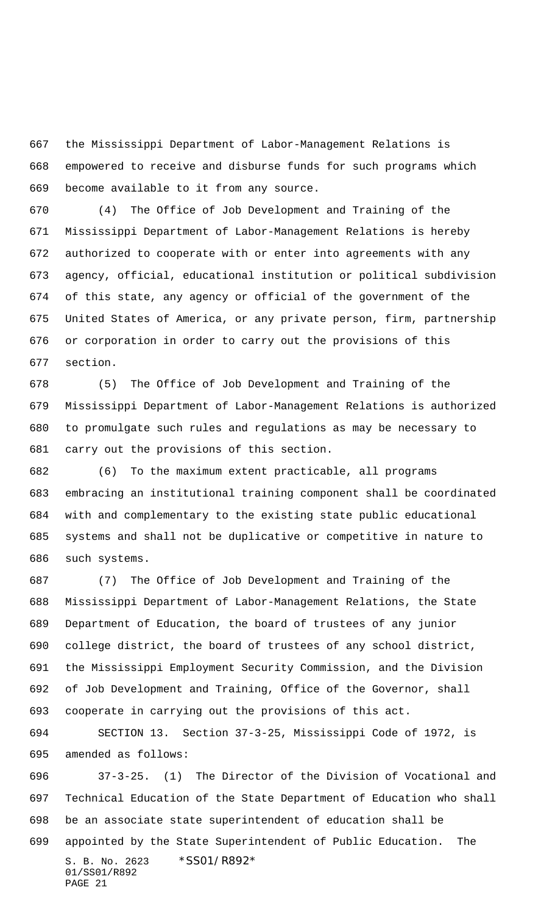the Mississippi Department of Labor-Management Relations is empowered to receive and disburse funds for such programs which become available to it from any source.

 (4) The Office of Job Development and Training of the Mississippi Department of Labor-Management Relations is hereby authorized to cooperate with or enter into agreements with any agency, official, educational institution or political subdivision of this state, any agency or official of the government of the United States of America, or any private person, firm, partnership or corporation in order to carry out the provisions of this section.

 (5) The Office of Job Development and Training of the Mississippi Department of Labor-Management Relations is authorized to promulgate such rules and regulations as may be necessary to carry out the provisions of this section.

 (6) To the maximum extent practicable, all programs embracing an institutional training component shall be coordinated with and complementary to the existing state public educational systems and shall not be duplicative or competitive in nature to such systems.

 (7) The Office of Job Development and Training of the Mississippi Department of Labor-Management Relations, the State Department of Education, the board of trustees of any junior college district, the board of trustees of any school district, the Mississippi Employment Security Commission, and the Division of Job Development and Training, Office of the Governor, shall cooperate in carrying out the provisions of this act.

 SECTION 13. Section 37-3-25, Mississippi Code of 1972, is amended as follows:

S. B. No. 2623 \*SS01/R892\* 01/SS01/R892 PAGE 21 37-3-25. (1) The Director of the Division of Vocational and Technical Education of the State Department of Education who shall be an associate state superintendent of education shall be appointed by the State Superintendent of Public Education. The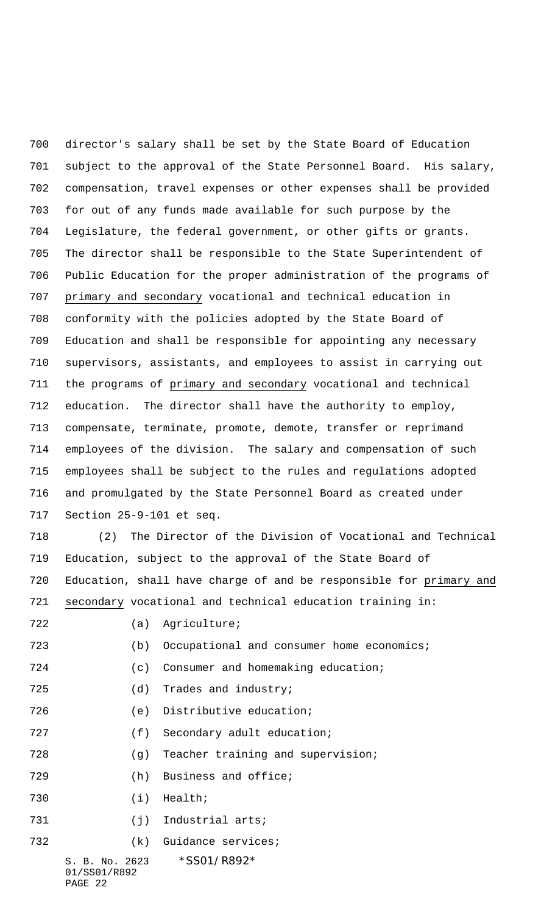director's salary shall be set by the State Board of Education subject to the approval of the State Personnel Board. His salary, compensation, travel expenses or other expenses shall be provided for out of any funds made available for such purpose by the Legislature, the federal government, or other gifts or grants. The director shall be responsible to the State Superintendent of Public Education for the proper administration of the programs of primary and secondary vocational and technical education in conformity with the policies adopted by the State Board of Education and shall be responsible for appointing any necessary supervisors, assistants, and employees to assist in carrying out the programs of primary and secondary vocational and technical education. The director shall have the authority to employ, compensate, terminate, promote, demote, transfer or reprimand employees of the division. The salary and compensation of such employees shall be subject to the rules and regulations adopted and promulgated by the State Personnel Board as created under Section 25-9-101 et seq.

 (2) The Director of the Division of Vocational and Technical Education, subject to the approval of the State Board of Education, shall have charge of and be responsible for primary and secondary vocational and technical education training in:

(a) Agriculture;

| 723 | (b)                                       | Occupational and consumer home economics; |
|-----|-------------------------------------------|-------------------------------------------|
| 724 | (c)                                       | Consumer and homemaking education;        |
| 725 | (d)                                       | Trades and industry;                      |
| 726 |                                           | (e) Distributive education;               |
| 727 | (f)                                       | Secondary adult education;                |
| 728 | (q)                                       | Teacher training and supervision;         |
| 729 | (h)                                       | Business and office;                      |
| 730 | (i)                                       | Health;                                   |
| 731 | (j)                                       | Industrial arts;                          |
| 732 | (k)                                       | Guidance services;                        |
|     | S. B. No. 2623<br>01/SS01/R892<br>PAGE 22 | *SS01/R892*                               |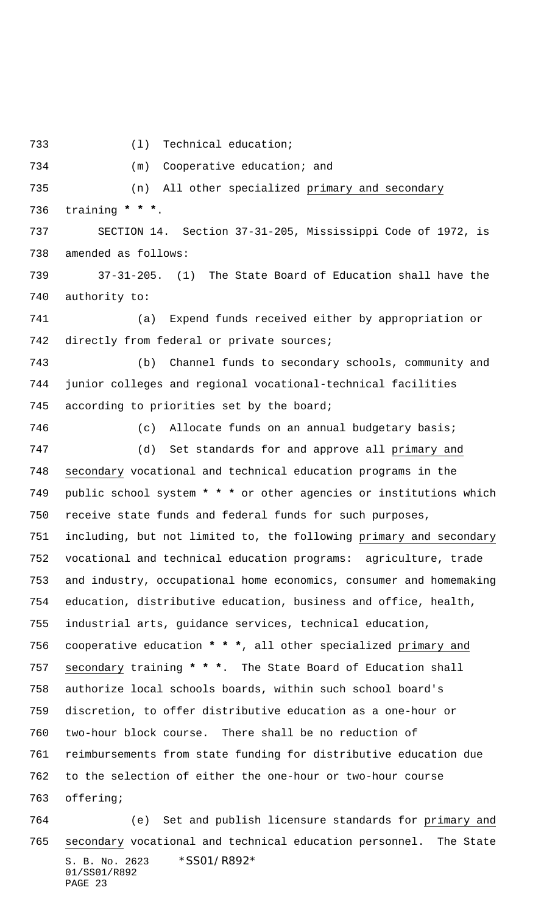733 (1) Technical education; (m) Cooperative education; and (n) All other specialized primary and secondary training **\* \* \***. SECTION 14. Section 37-31-205, Mississippi Code of 1972, is amended as follows: 37-31-205. (1) The State Board of Education shall have the authority to: 741 (a) Expend funds received either by appropriation or directly from federal or private sources; 743 (b) Channel funds to secondary schools, community and junior colleges and regional vocational-technical facilities according to priorities set by the board; 746 (c) Allocate funds on an annual budgetary basis; 747 (d) Set standards for and approve all primary and secondary vocational and technical education programs in the public school system **\* \* \*** or other agencies or institutions which receive state funds and federal funds for such purposes, including, but not limited to, the following primary and secondary vocational and technical education programs: agriculture, trade and industry, occupational home economics, consumer and homemaking education, distributive education, business and office, health, industrial arts, guidance services, technical education, cooperative education **\* \* \***, all other specialized primary and secondary training **\* \* \***. The State Board of Education shall authorize local schools boards, within such school board's discretion, to offer distributive education as a one-hour or two-hour block course. There shall be no reduction of reimbursements from state funding for distributive education due to the selection of either the one-hour or two-hour course offering; (e) Set and publish licensure standards for primary and

S. B. No. 2623 \*SS01/R892\* 01/SS01/R892 PAGE 23 secondary vocational and technical education personnel. The State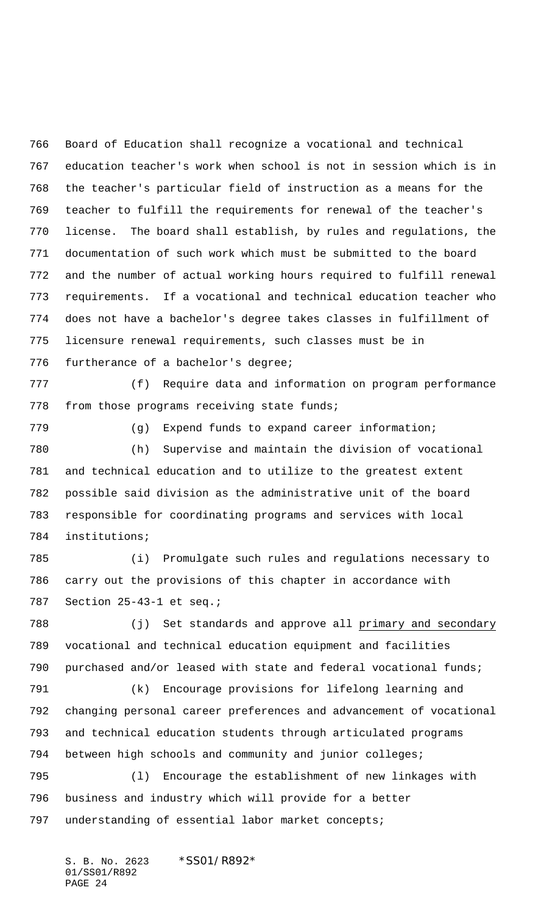Board of Education shall recognize a vocational and technical education teacher's work when school is not in session which is in the teacher's particular field of instruction as a means for the teacher to fulfill the requirements for renewal of the teacher's license. The board shall establish, by rules and regulations, the documentation of such work which must be submitted to the board and the number of actual working hours required to fulfill renewal requirements. If a vocational and technical education teacher who does not have a bachelor's degree takes classes in fulfillment of licensure renewal requirements, such classes must be in 776 furtherance of a bachelor's degree;

 (f) Require data and information on program performance 778 from those programs receiving state funds;

(g) Expend funds to expand career information;

 (h) Supervise and maintain the division of vocational and technical education and to utilize to the greatest extent possible said division as the administrative unit of the board responsible for coordinating programs and services with local institutions;

 (i) Promulgate such rules and regulations necessary to carry out the provisions of this chapter in accordance with Section 25-43-1 et seq.;

 (j) Set standards and approve all primary and secondary vocational and technical education equipment and facilities purchased and/or leased with state and federal vocational funds;

 (k) Encourage provisions for lifelong learning and changing personal career preferences and advancement of vocational and technical education students through articulated programs between high schools and community and junior colleges; (l) Encourage the establishment of new linkages with

 business and industry which will provide for a better understanding of essential labor market concepts;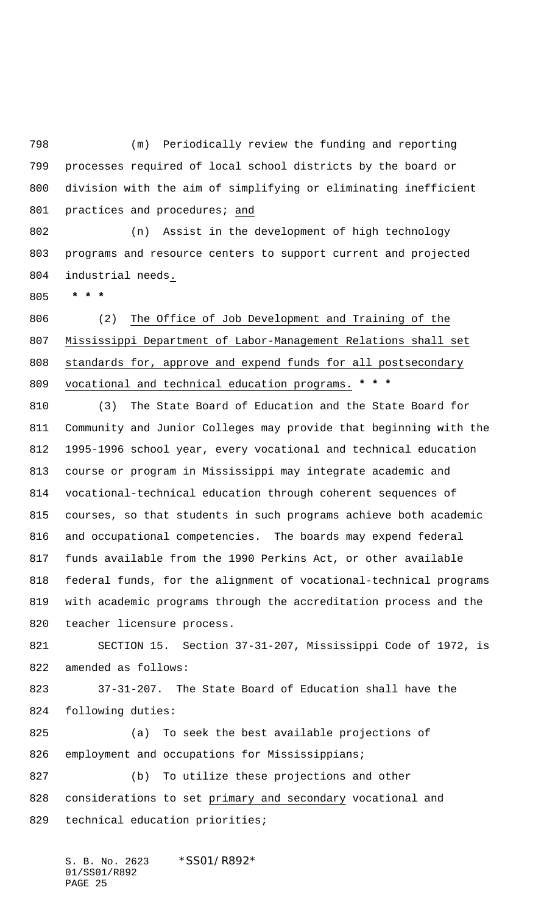(m) Periodically review the funding and reporting processes required of local school districts by the board or division with the aim of simplifying or eliminating inefficient 801 practices and procedures; and

 (n) Assist in the development of high technology programs and resource centers to support current and projected industrial needs.

 **\* \* \***

 (2) The Office of Job Development and Training of the Mississippi Department of Labor-Management Relations shall set 808 standards for, approve and expend funds for all postsecondary vocational and technical education programs. **\* \* \***

 (3) The State Board of Education and the State Board for Community and Junior Colleges may provide that beginning with the 1995-1996 school year, every vocational and technical education course or program in Mississippi may integrate academic and vocational-technical education through coherent sequences of courses, so that students in such programs achieve both academic and occupational competencies. The boards may expend federal funds available from the 1990 Perkins Act, or other available federal funds, for the alignment of vocational-technical programs with academic programs through the accreditation process and the teacher licensure process.

 SECTION 15. Section 37-31-207, Mississippi Code of 1972, is amended as follows:

 37-31-207. The State Board of Education shall have the following duties:

 (a) To seek the best available projections of 826 employment and occupations for Mississippians;

 (b) To utilize these projections and other considerations to set primary and secondary vocational and technical education priorities;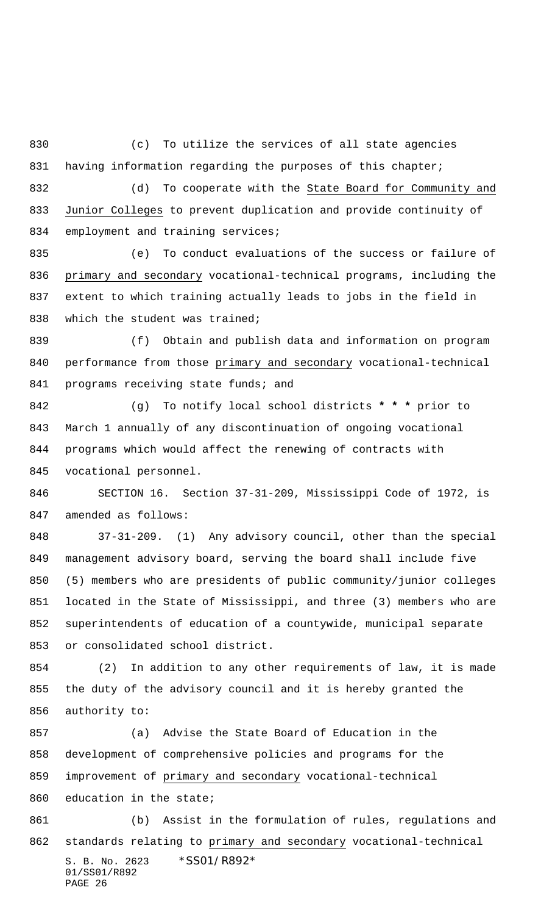(c) To utilize the services of all state agencies 831 having information regarding the purposes of this chapter; (d) To cooperate with the State Board for Community and Junior Colleges to prevent duplication and provide continuity of 834 employment and training services;

 (e) To conduct evaluations of the success or failure of primary and secondary vocational-technical programs, including the extent to which training actually leads to jobs in the field in 838 which the student was trained;

 (f) Obtain and publish data and information on program 840 performance from those primary and secondary vocational-technical 841 programs receiving state funds; and

 (g) To notify local school districts **\* \* \*** prior to March 1 annually of any discontinuation of ongoing vocational programs which would affect the renewing of contracts with vocational personnel.

 SECTION 16. Section 37-31-209, Mississippi Code of 1972, is amended as follows:

 37-31-209. (1) Any advisory council, other than the special management advisory board, serving the board shall include five (5) members who are presidents of public community/junior colleges located in the State of Mississippi, and three (3) members who are superintendents of education of a countywide, municipal separate or consolidated school district.

 (2) In addition to any other requirements of law, it is made the duty of the advisory council and it is hereby granted the authority to:

 (a) Advise the State Board of Education in the development of comprehensive policies and programs for the improvement of primary and secondary vocational-technical 860 education in the state;

S. B. No. 2623 \*SS01/R892\* 01/SS01/R892 PAGE 26 (b) Assist in the formulation of rules, regulations and 862 standards relating to primary and secondary vocational-technical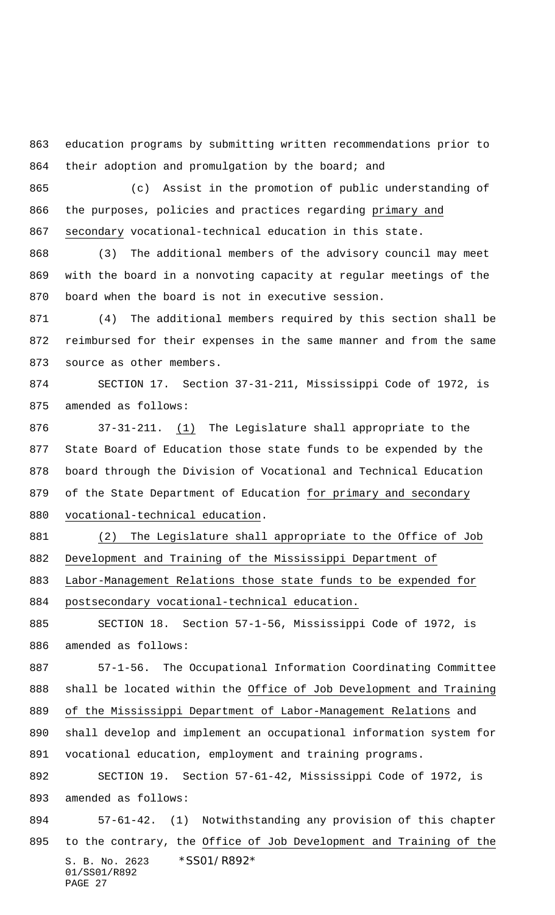education programs by submitting written recommendations prior to 864 their adoption and promulgation by the board; and

 (c) Assist in the promotion of public understanding of the purposes, policies and practices regarding primary and secondary vocational-technical education in this state.

 (3) The additional members of the advisory council may meet with the board in a nonvoting capacity at regular meetings of the board when the board is not in executive session.

 (4) The additional members required by this section shall be reimbursed for their expenses in the same manner and from the same source as other members.

 SECTION 17. Section 37-31-211, Mississippi Code of 1972, is amended as follows:

 37-31-211. (1) The Legislature shall appropriate to the State Board of Education those state funds to be expended by the board through the Division of Vocational and Technical Education of the State Department of Education for primary and secondary vocational-technical education.

 (2) The Legislature shall appropriate to the Office of Job Development and Training of the Mississippi Department of Labor-Management Relations those state funds to be expended for

postsecondary vocational-technical education.

 SECTION 18. Section 57-1-56, Mississippi Code of 1972, is amended as follows:

 57-1-56. The Occupational Information Coordinating Committee shall be located within the Office of Job Development and Training of the Mississippi Department of Labor-Management Relations and shall develop and implement an occupational information system for

vocational education, employment and training programs.

 SECTION 19. Section 57-61-42, Mississippi Code of 1972, is amended as follows:

S. B. No. 2623 \*SS01/R892\* 01/SS01/R892 PAGE 27 57-61-42. (1) Notwithstanding any provision of this chapter 895 to the contrary, the Office of Job Development and Training of the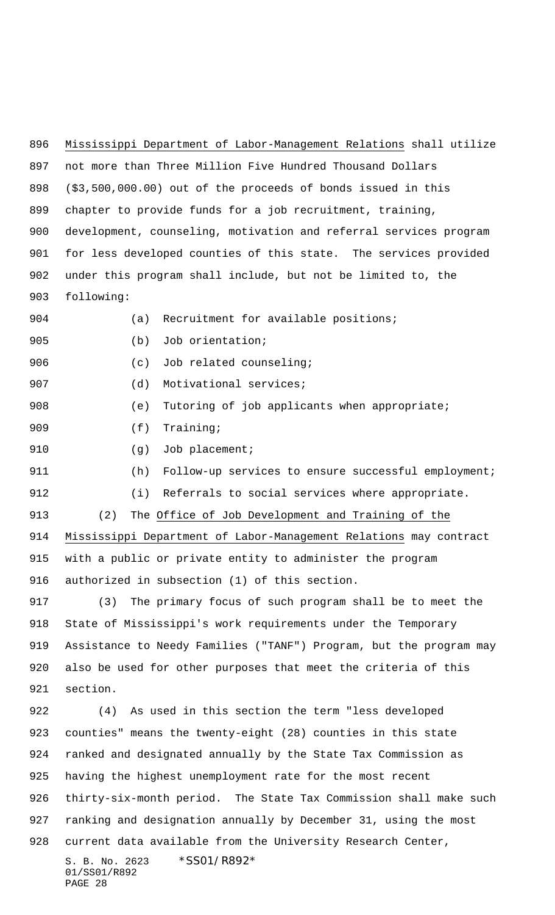Mississippi Department of Labor-Management Relations shall utilize not more than Three Million Five Hundred Thousand Dollars (\$3,500,000.00) out of the proceeds of bonds issued in this chapter to provide funds for a job recruitment, training, development, counseling, motivation and referral services program for less developed counties of this state. The services provided under this program shall include, but not be limited to, the following: 904 (a) Recruitment for available positions; 905 (b) Job orientation; (c) Job related counseling; 907 (d) Motivational services; 908 (e) Tutoring of job applicants when appropriate; 909 (f) Training;

- 910 (g) Job placement;
- 911 (h) Follow-up services to ensure successful employment;
- 
- (i) Referrals to social services where appropriate.

913 (2) The Office of Job Development and Training of the

 Mississippi Department of Labor-Management Relations may contract with a public or private entity to administer the program authorized in subsection (1) of this section.

 (3) The primary focus of such program shall be to meet the State of Mississippi's work requirements under the Temporary Assistance to Needy Families ("TANF") Program, but the program may also be used for other purposes that meet the criteria of this section.

S. B. No. 2623 \* SS01/R892\* 01/SS01/R892 PAGE 28 (4) As used in this section the term "less developed counties" means the twenty-eight (28) counties in this state ranked and designated annually by the State Tax Commission as having the highest unemployment rate for the most recent thirty-six-month period. The State Tax Commission shall make such ranking and designation annually by December 31, using the most 928 current data available from the University Research Center,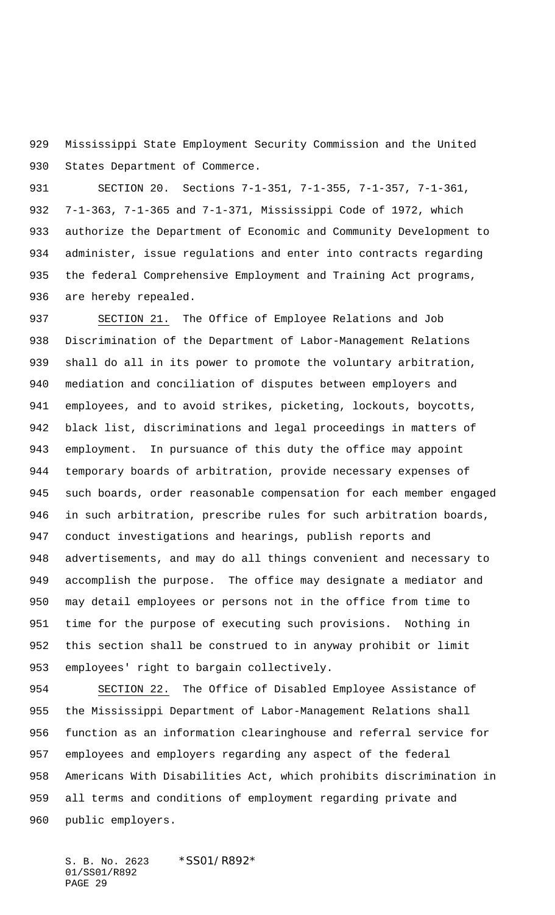Mississippi State Employment Security Commission and the United States Department of Commerce.

 SECTION 20. Sections 7-1-351, 7-1-355, 7-1-357, 7-1-361, 7-1-363, 7-1-365 and 7-1-371, Mississippi Code of 1972, which authorize the Department of Economic and Community Development to administer, issue regulations and enter into contracts regarding the federal Comprehensive Employment and Training Act programs, are hereby repealed.

 SECTION 21. The Office of Employee Relations and Job Discrimination of the Department of Labor-Management Relations shall do all in its power to promote the voluntary arbitration, mediation and conciliation of disputes between employers and employees, and to avoid strikes, picketing, lockouts, boycotts, black list, discriminations and legal proceedings in matters of employment. In pursuance of this duty the office may appoint temporary boards of arbitration, provide necessary expenses of such boards, order reasonable compensation for each member engaged in such arbitration, prescribe rules for such arbitration boards, conduct investigations and hearings, publish reports and advertisements, and may do all things convenient and necessary to accomplish the purpose. The office may designate a mediator and may detail employees or persons not in the office from time to time for the purpose of executing such provisions. Nothing in this section shall be construed to in anyway prohibit or limit employees' right to bargain collectively.

 SECTION 22. The Office of Disabled Employee Assistance of the Mississippi Department of Labor-Management Relations shall function as an information clearinghouse and referral service for employees and employers regarding any aspect of the federal Americans With Disabilities Act, which prohibits discrimination in all terms and conditions of employment regarding private and public employers.